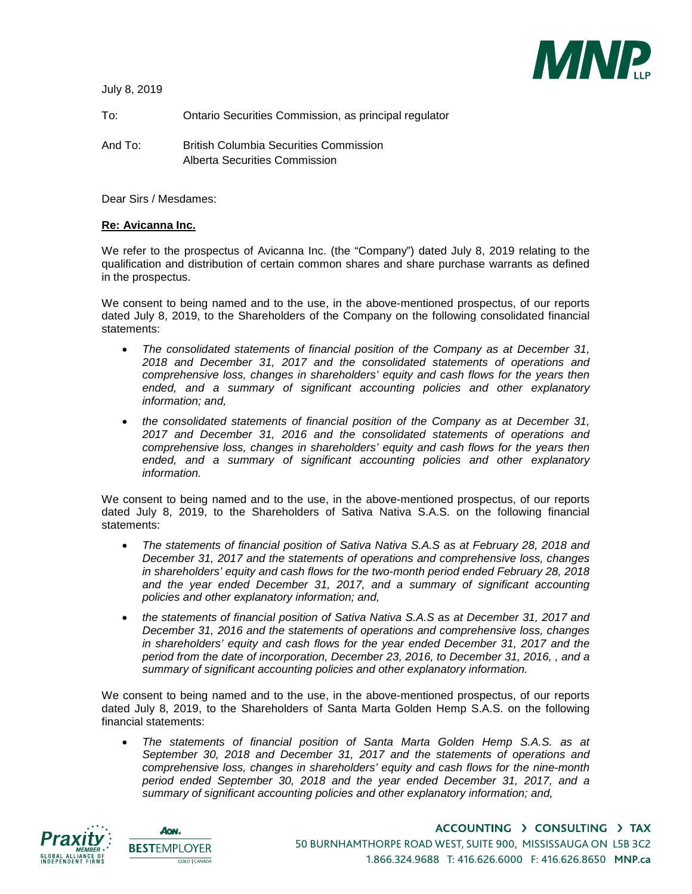**MNR** 

July 8, 2019

| To:     | Ontario Securities Commission, as principal regulator                          |
|---------|--------------------------------------------------------------------------------|
| And To: | <b>British Columbia Securities Commission</b><br>Alberta Securities Commission |

Dear Sirs / Mesdames:

## **Re: Avicanna Inc.**

We refer to the prospectus of Avicanna Inc. (the "Company") dated July 8, 2019 relating to the qualification and distribution of certain common shares and share purchase warrants as defined in the prospectus.

We consent to being named and to the use, in the above-mentioned prospectus, of our reports dated July 8, 2019, to the Shareholders of the Company on the following consolidated financial statements:

- *The consolidated statements of financial position of the Company as at December 31, 2018 and December 31, 2017 and the consolidated statements of operations and comprehensive loss, changes in shareholders' equity and cash flows for the years then*  ended, and a summary of significant accounting policies and other explanatory *information; and,*
- *the consolidated statements of financial position of the Company as at December 31, 2017 and December 31, 2016 and the consolidated statements of operations and comprehensive loss, changes in shareholders' equity and cash flows for the years then*  ended, and a summary of significant accounting policies and other explanatory *information.*

We consent to being named and to the use, in the above-mentioned prospectus, of our reports dated July 8, 2019, to the Shareholders of Sativa Nativa S.A.S. on the following financial statements:

- *The statements of financial position of Sativa Nativa S.A.S as at February 28, 2018 and December 31, 2017 and the statements of operations and comprehensive loss, changes in shareholders' equity and cash flows for the two-month period ended February 28, 2018*  and the year ended December 31, 2017, and a summary of significant accounting *policies and other explanatory information; and,*
- *the statements of financial position of Sativa Nativa S.A.S as at December 31, 2017 and December 31, 2016 and the statements of operations and comprehensive loss, changes in shareholders' equity and cash flows for the year ended December 31, 2017 and the period from the date of incorporation, December 23, 2016, to December 31, 2016, , and a summary of significant accounting policies and other explanatory information.*

We consent to being named and to the use, in the above-mentioned prospectus, of our reports dated July 8, 2019, to the Shareholders of Santa Marta Golden Hemp S.A.S. on the following financial statements:

 *The statements of financial position of Santa Marta Golden Hemp S.A.S. as at September 30, 2018 and December 31, 2017 and the statements of operations and comprehensive loss, changes in shareholders' equity and cash flows for the nine-month period ended September 30, 2018 and the year ended December 31, 2017, and a summary of significant accounting policies and other explanatory information; and,*